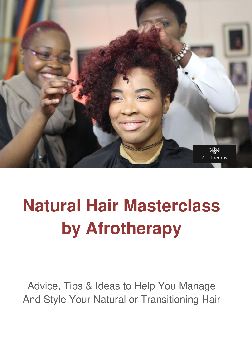

# **Natural Hair Masterclass by Afrotherapy**

Advice, Tips & Ideas to Help You Manage And Style Your Natural or Transitioning Hair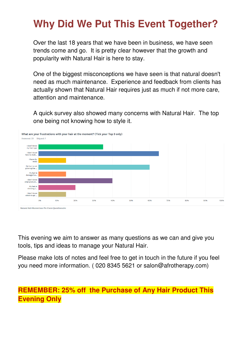### **Why Did We Put This Event Together?**

Over the last 18 years that we have been in business, we have seen trends come and go. It is pretty clear however that the growth and popularity with Natural Hair is here to stay.

One of the biggest misconceptions we have seen is that natural doesn't need as much maintenance. Experience and feedback from clients has actually shown that Natural Hair requires just as much if not more care, attention and maintenance.

A quick survey also showed many concerns with Natural Hair. The top one being not knowing how to style it.



This evening we aim to answer as many questions as we can and give you tools, tips and ideas to manage your Natural Hair.

Please make lots of notes and feel free to get in touch in the future if you feel you need more information. ( 020 8345 5621 or salon@afrotherapy.com)

**REMEMBER: 25% off the Purchase of Any Hair Product This Evening Only**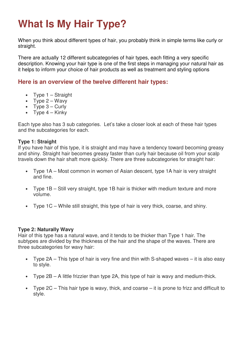## **What Is My Hair Type?**

When you think about different types of hair, you probably think in simple terms like curly or straight.

There are actually 12 different subcategories of hair types, each fitting a very specific description. Knowing your hair type is one of the first steps in managing your natural hair as it helps to inform your choice of hair products as well as treatment and styling options

### **Here is an overview of the twelve different hair types:**

- Type 1 Straight
- Type  $2 W$ avy
- Type  $3 -$  Curly
- Type  $4 -$  Kinky

Each type also has 3 sub categories. Let's take a closer look at each of these hair types and the subcategories for each.

### **Type 1: Straight**

If you have hair of this type, it is straight and may have a tendency toward becoming greasy and shiny. Straight hair becomes greasy faster than curly hair because oil from your scalp travels down the hair shaft more quickly. There are three subcategories for straight hair:

- Type 1A Most common in women of Asian descent, type 1A hair is very straight and fine.
- Type 1B Still very straight, type 1B hair is thicker with medium texture and more volume.
- Type 1C While still straight, this type of hair is very thick, coarse, and shiny.

### **Type 2: Naturally Wavy**

Hair of this type has a natural wave, and it tends to be thicker than Type 1 hair. The subtypes are divided by the thickness of the hair and the shape of the waves. There are three subcategories for wavy hair:

- Type 2A This type of hair is very fine and thin with S-shaped waves it is also easy to style.
- Type 2B A little frizzier than type 2A, this type of hair is wavy and medium-thick.
- Type  $2C$  This hair type is wavy, thick, and coarse it is prone to frizz and difficult to style.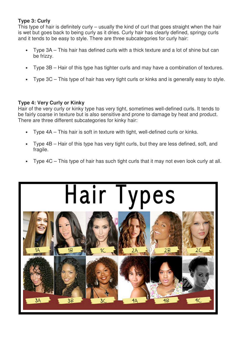### **Type 3: Curly**

This type of hair is definitely curly – usually the kind of curl that goes straight when the hair is wet but goes back to being curly as it dries. Curly hair has clearly defined, springy curls and it tends to be easy to style. There are three subcategories for curly hair:

- Type 3A This hair has defined curls with a thick texture and a lot of shine but can be frizzy.
- Type 3B Hair of this type has tighter curls and may have a combination of textures.
- Type 3C This type of hair has very tight curls or kinks and is generally easy to style.

### **Type 4: Very Curly or Kinky**

Hair of the very curly or kinky type has very tight, sometimes well-defined curls. It tends to be fairly coarse in texture but is also sensitive and prone to damage by heat and product. There are three different subcategories for kinky hair:

- Type 4A This hair is soft in texture with tight, well-defined curls or kinks.
- Type 4B Hair of this type has very tight curls, but they are less defined, soft, and fragile.
- Type 4C This type of hair has such tight curls that it may not even look curly at all.

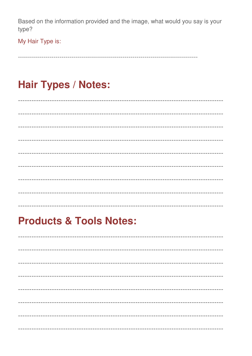Based on the information provided and the image, what would you say is your type?

My Hair Type is:

### **Hair Types / Notes:**

------------

### **Products & Tools Notes:**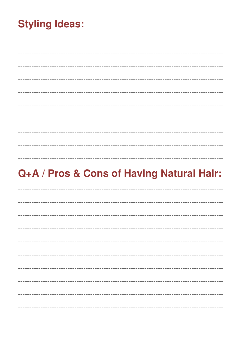## **Styling Ideas:**

\_\_\_\_\_\_\_\_\_\_\_\_\_\_\_\_\_\_\_\_\_\_\_\_\_\_\_

### Q+A / Pros & Cons of Having Natural Hair:

-----------